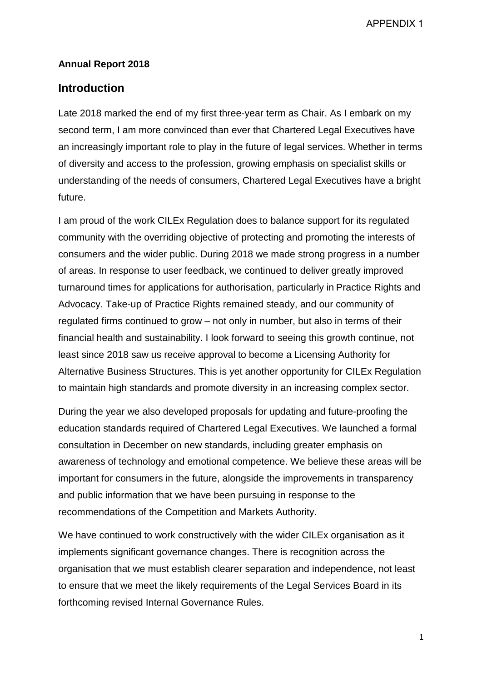APPENDIX 1

#### **Annual Report 2018**

#### **Introduction**

Late 2018 marked the end of my first three-year term as Chair. As I embark on my second term, I am more convinced than ever that Chartered Legal Executives have an increasingly important role to play in the future of legal services. Whether in terms of diversity and access to the profession, growing emphasis on specialist skills or understanding of the needs of consumers, Chartered Legal Executives have a bright future.

I am proud of the work CILEx Regulation does to balance support for its regulated community with the overriding objective of protecting and promoting the interests of consumers and the wider public. During 2018 we made strong progress in a number of areas. In response to user feedback, we continued to deliver greatly improved turnaround times for applications for authorisation, particularly in Practice Rights and Advocacy. Take-up of Practice Rights remained steady, and our community of regulated firms continued to grow – not only in number, but also in terms of their financial health and sustainability. I look forward to seeing this growth continue, not least since 2018 saw us receive approval to become a Licensing Authority for Alternative Business Structures. This is yet another opportunity for CILEx Regulation to maintain high standards and promote diversity in an increasing complex sector.

During the year we also developed proposals for updating and future-proofing the education standards required of Chartered Legal Executives. We launched a formal consultation in December on new standards, including greater emphasis on awareness of technology and emotional competence. We believe these areas will be important for consumers in the future, alongside the improvements in transparency and public information that we have been pursuing in response to the recommendations of the Competition and Markets Authority.

We have continued to work constructively with the wider CILEx organisation as it implements significant governance changes. There is recognition across the organisation that we must establish clearer separation and independence, not least to ensure that we meet the likely requirements of the Legal Services Board in its forthcoming revised Internal Governance Rules.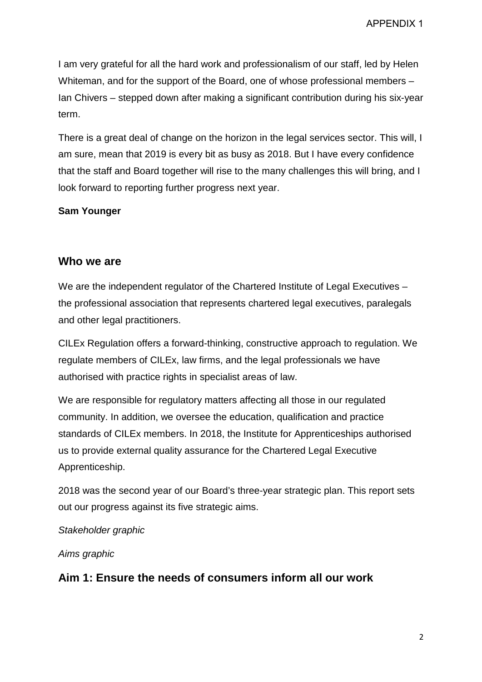I am very grateful for all the hard work and professionalism of our staff, led by Helen Whiteman, and for the support of the Board, one of whose professional members – Ian Chivers – stepped down after making a significant contribution during his six-year term.

There is a great deal of change on the horizon in the legal services sector. This will, I am sure, mean that 2019 is every bit as busy as 2018. But I have every confidence that the staff and Board together will rise to the many challenges this will bring, and I look forward to reporting further progress next year.

#### **Sam Younger**

### **Who we are**

We are the independent regulator of the Chartered Institute of Legal Executives – the professional association that represents chartered legal executives, paralegals and other legal practitioners.

CILEx Regulation offers a forward-thinking, constructive approach to regulation. We regulate members of CILEx, law firms, and the legal professionals we have authorised with practice rights in specialist areas of law.

We are responsible for regulatory matters affecting all those in our regulated community. In addition, we oversee the education, qualification and practice standards of CILEx members. In 2018, the Institute for Apprenticeships authorised us to provide external quality assurance for the Chartered Legal Executive Apprenticeship.

2018 was the second year of our Board's three-year strategic plan. This report sets out our progress against its five strategic aims.

*Stakeholder graphic*

*Aims graphic*

### **Aim 1: Ensure the needs of consumers inform all our work**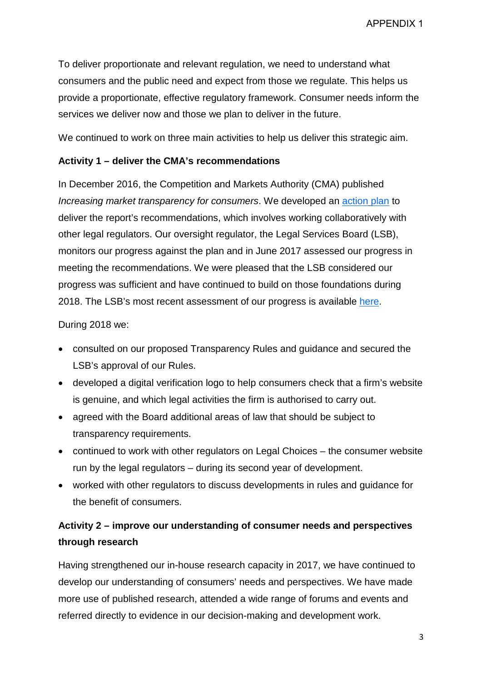APPENDIX 1

To deliver proportionate and relevant regulation, we need to understand what consumers and the public need and expect from those we regulate. This helps us provide a proportionate, effective regulatory framework. Consumer needs inform the services we deliver now and those we plan to deliver in the future.

We continued to work on three main activities to help us deliver this strategic aim.

#### **Activity 1 – deliver the CMA's recommendations**

In December 2016, the Competition and Markets Authority (CMA) published *Increasing market transparency for consumers*. We developed an action plan to deliver the report's recommendations, which involves working collaboratively with other legal regulators. Our oversight regulator, the Legal Services Board (LSB), monitors our progress against the plan and in June 2017 assessed our progress in meeting the recommendations. We were pleased that the LSB considered our progress was sufficient and have continued to build on those foundations during 2018. The LSB's most recent assessment of our progress is available here.

During 2018 we:

- consulted on our proposed Transparency Rules and guidance and secured the LSB's approval of our Rules.
- developed a digital verification logo to help consumers check that a firm's website is genuine, and which legal activities the firm is authorised to carry out.
- agreed with the Board additional areas of law that should be subject to transparency requirements.
- continued to work with other regulators on Legal Choices the consumer website run by the legal regulators – during its second year of development.
- worked with other regulators to discuss developments in rules and guidance for the benefit of consumers.

## **Activity 2 – improve our understanding of consumer needs and perspectives through research**

Having strengthened our in-house research capacity in 2017, we have continued to develop our understanding of consumers' needs and perspectives. We have made more use of published research, attended a wide range of forums and events and referred directly to evidence in our decision-making and development work.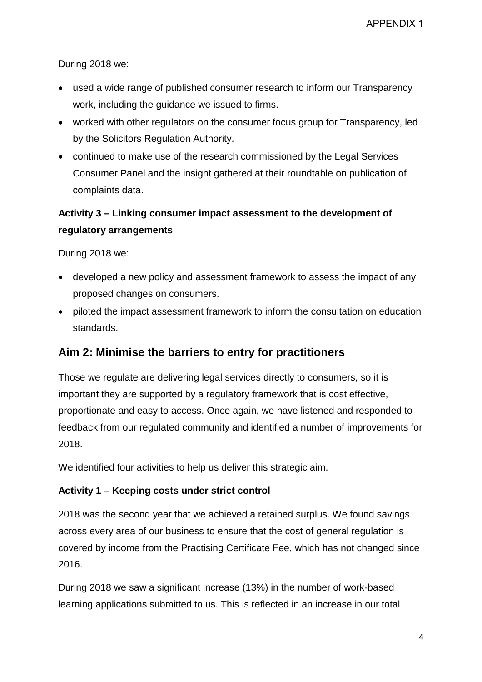During 2018 we:

- used a wide range of published consumer research to inform our Transparency work, including the guidance we issued to firms.
- worked with other regulators on the consumer focus group for Transparency, led by the Solicitors Regulation Authority.
- continued to make use of the research commissioned by the Legal Services Consumer Panel and the insight gathered at their roundtable on publication of complaints data.

## **Activity 3 – Linking consumer impact assessment to the development of regulatory arrangements**

During 2018 we:

- developed a new policy and assessment framework to assess the impact of any proposed changes on consumers.
- piloted the impact assessment framework to inform the consultation on education standards.

### **Aim 2: Minimise the barriers to entry for practitioners**

Those we regulate are delivering legal services directly to consumers, so it is important they are supported by a regulatory framework that is cost effective, proportionate and easy to access. Once again, we have listened and responded to feedback from our regulated community and identified a number of improvements for 2018.

We identified four activities to help us deliver this strategic aim.

#### **Activity 1 – Keeping costs under strict control**

2018 was the second year that we achieved a retained surplus. We found savings across every area of our business to ensure that the cost of general regulation is covered by income from the Practising Certificate Fee, which has not changed since 2016.

During 2018 we saw a significant increase (13%) in the number of work-based learning applications submitted to us. This is reflected in an increase in our total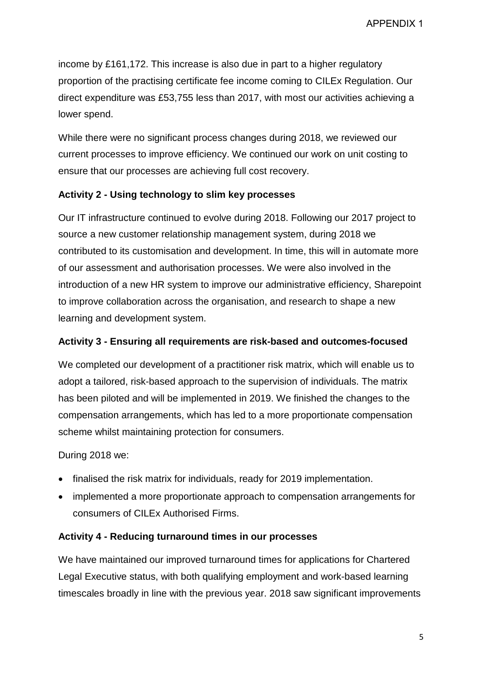APPENDIX 1

income by £161,172. This increase is also due in part to a higher regulatory proportion of the practising certificate fee income coming to CILEx Regulation. Our direct expenditure was £53,755 less than 2017, with most our activities achieving a lower spend.

While there were no significant process changes during 2018, we reviewed our current processes to improve efficiency. We continued our work on unit costing to ensure that our processes are achieving full cost recovery.

### **Activity 2 - Using technology to slim key processes**

Our IT infrastructure continued to evolve during 2018. Following our 2017 project to source a new customer relationship management system, during 2018 we contributed to its customisation and development. In time, this will in automate more of our assessment and authorisation processes. We were also involved in the introduction of a new HR system to improve our administrative efficiency, Sharepoint to improve collaboration across the organisation, and research to shape a new learning and development system.

#### **Activity 3 - Ensuring all requirements are risk-based and outcomes-focused**

We completed our development of a practitioner risk matrix, which will enable us to adopt a tailored, risk-based approach to the supervision of individuals. The matrix has been piloted and will be implemented in 2019. We finished the changes to the compensation arrangements, which has led to a more proportionate compensation scheme whilst maintaining protection for consumers.

During 2018 we:

- finalised the risk matrix for individuals, ready for 2019 implementation.
- implemented a more proportionate approach to compensation arrangements for consumers of CILEx Authorised Firms.

#### **Activity 4 - Reducing turnaround times in our processes**

We have maintained our improved turnaround times for applications for Chartered Legal Executive status, with both qualifying employment and work-based learning timescales broadly in line with the previous year. 2018 saw significant improvements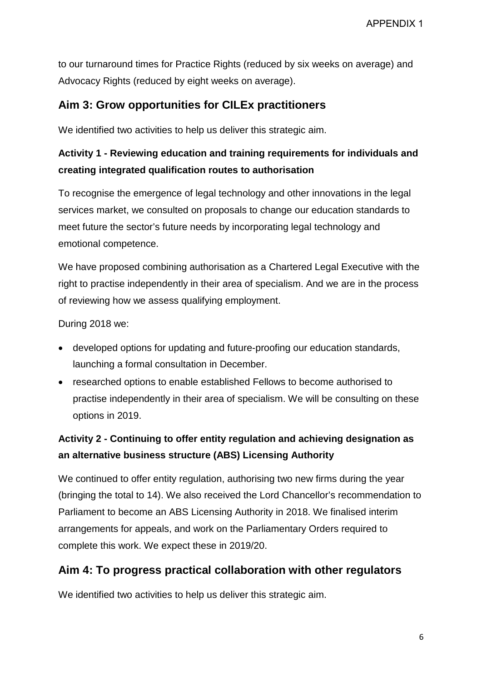to our turnaround times for Practice Rights (reduced by six weeks on average) and Advocacy Rights (reduced by eight weeks on average).

### **Aim 3: Grow opportunities for CILEx practitioners**

We identified two activities to help us deliver this strategic aim.

## **Activity 1 - Reviewing education and training requirements for individuals and creating integrated qualification routes to authorisation**

To recognise the emergence of legal technology and other innovations in the legal services market, we consulted on proposals to change our education standards to meet future the sector's future needs by incorporating legal technology and emotional competence.

We have proposed combining authorisation as a Chartered Legal Executive with the right to practise independently in their area of specialism. And we are in the process of reviewing how we assess qualifying employment.

During 2018 we:

- developed options for updating and future-proofing our education standards, launching a formal consultation in December.
- researched options to enable established Fellows to become authorised to practise independently in their area of specialism. We will be consulting on these options in 2019.

# **Activity 2 - Continuing to offer entity regulation and achieving designation as an alternative business structure (ABS) Licensing Authority**

We continued to offer entity regulation, authorising two new firms during the year (bringing the total to 14). We also received the Lord Chancellor's recommendation to Parliament to become an ABS Licensing Authority in 2018. We finalised interim arrangements for appeals, and work on the Parliamentary Orders required to complete this work. We expect these in 2019/20.

### **Aim 4: To progress practical collaboration with other regulators**

We identified two activities to help us deliver this strategic aim.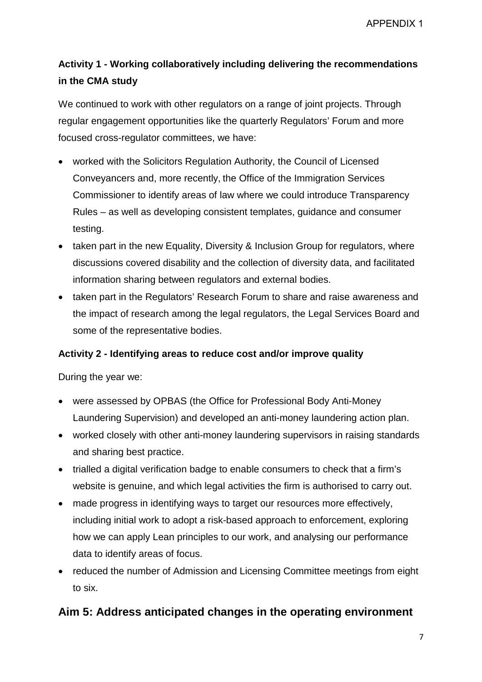# **Activity 1 - Working collaboratively including delivering the recommendations in the CMA study**

We continued to work with other regulators on a range of joint projects. Through regular engagement opportunities like the quarterly Regulators' Forum and more focused cross-regulator committees, we have:

- worked with the Solicitors Regulation Authority, the Council of Licensed Conveyancers and, more recently, the Office of the Immigration Services Commissioner to identify areas of law where we could introduce Transparency Rules – as well as developing consistent templates, guidance and consumer testing.
- taken part in the new Equality, Diversity & Inclusion Group for regulators, where discussions covered disability and the collection of diversity data, and facilitated information sharing between regulators and external bodies.
- taken part in the Regulators' Research Forum to share and raise awareness and the impact of research among the legal regulators, the Legal Services Board and some of the representative bodies.

### **Activity 2 - Identifying areas to reduce cost and/or improve quality**

During the year we:

- were assessed by OPBAS (the Office for Professional Body Anti-Money Laundering Supervision) and developed an anti-money laundering action plan.
- worked closely with other anti-money laundering supervisors in raising standards and sharing best practice.
- trialled a digital verification badge to enable consumers to check that a firm's website is genuine, and which legal activities the firm is authorised to carry out.
- made progress in identifying ways to target our resources more effectively, including initial work to adopt a risk-based approach to enforcement, exploring how we can apply Lean principles to our work, and analysing our performance data to identify areas of focus.
- reduced the number of Admission and Licensing Committee meetings from eight to six.

### **Aim 5: Address anticipated changes in the operating environment**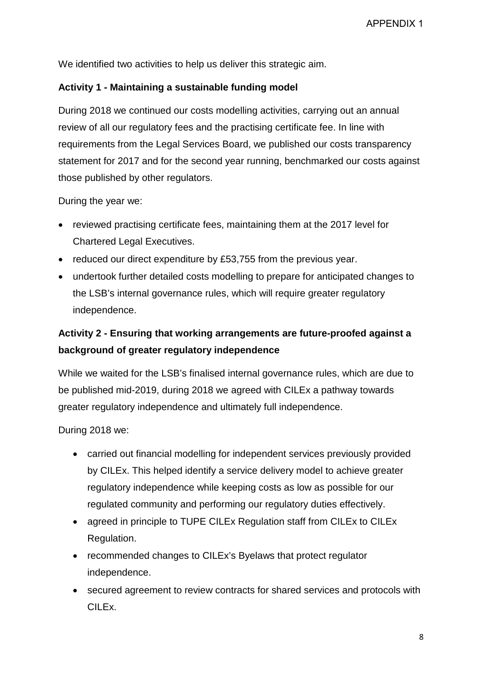We identified two activities to help us deliver this strategic aim.

#### **Activity 1 - Maintaining a sustainable funding model**

During 2018 we continued our costs modelling activities, carrying out an annual review of all our regulatory fees and the practising certificate fee. In line with requirements from the Legal Services Board, we published our costs transparency statement for 2017 and for the second year running, benchmarked our costs against those published by other regulators.

During the year we:

- reviewed practising certificate fees, maintaining them at the 2017 level for Chartered Legal Executives.
- reduced our direct expenditure by £53,755 from the previous year.
- undertook further detailed costs modelling to prepare for anticipated changes to the LSB's internal governance rules, which will require greater regulatory independence.

# **Activity 2 - Ensuring that working arrangements are future-proofed against a background of greater regulatory independence**

While we waited for the LSB's finalised internal governance rules, which are due to be published mid-2019, during 2018 we agreed with CILEx a pathway towards greater regulatory independence and ultimately full independence.

During 2018 we:

- carried out financial modelling for independent services previously provided by CILEx. This helped identify a service delivery model to achieve greater regulatory independence while keeping costs as low as possible for our regulated community and performing our regulatory duties effectively.
- agreed in principle to TUPE CILEx Regulation staff from CILEx to CILEx Regulation.
- recommended changes to CILEx's Byelaws that protect regulator independence.
- secured agreement to review contracts for shared services and protocols with CILEx.